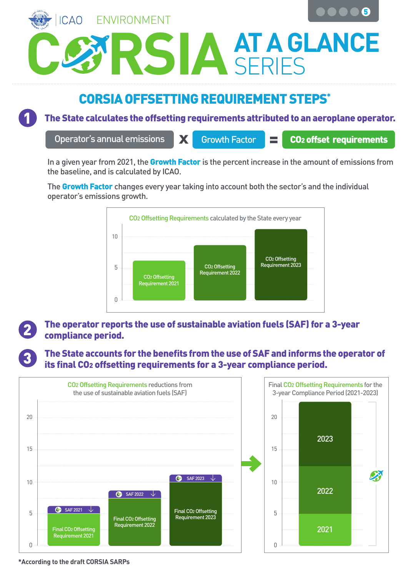

## CORSIA OFFSETTING REQUIREMENT STEPS\*

1

The State calculates the offsetting requirements attributed to an aeroplane operator.

Operator's annual emissions **No. 18 Growth Factor Full Co2 offset requirements** 

In a given year from 2021, the Growth Factor is the percent increase in the amount of emissions from the baseline, and is calculated by ICAO.

The Growth Factor changes every year taking into account both the sector's and the individual operator's emissions growth.



## The operator reports the use of sustainable aviation fuels (SAF) for a 3-year<br>compliance period.

The State accounts for the benefits from the use of SAF and informs the operator of its final CO2 offsetting requirements for a 3-year compliance period.





**\*According to the draft CORSIA SARPs**